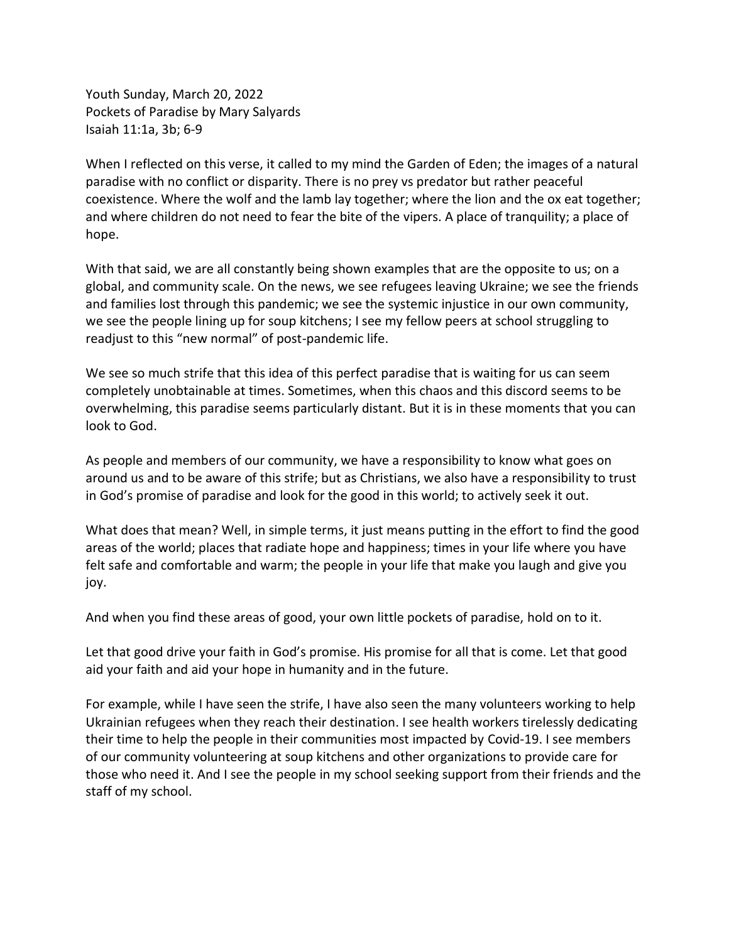Youth Sunday, March 20, 2022 Pockets of Paradise by Mary Salyards Isaiah 11:1a, 3b; 6-9

When I reflected on this verse, it called to my mind the Garden of Eden; the images of a natural paradise with no conflict or disparity. There is no prey vs predator but rather peaceful coexistence. Where the wolf and the lamb lay together; where the lion and the ox eat together; and where children do not need to fear the bite of the vipers. A place of tranquility; a place of hope.

With that said, we are all constantly being shown examples that are the opposite to us; on a global, and community scale. On the news, we see refugees leaving Ukraine; we see the friends and families lost through this pandemic; we see the systemic injustice in our own community, we see the people lining up for soup kitchens; I see my fellow peers at school struggling to readjust to this "new normal" of post-pandemic life.

We see so much strife that this idea of this perfect paradise that is waiting for us can seem completely unobtainable at times. Sometimes, when this chaos and this discord seems to be overwhelming, this paradise seems particularly distant. But it is in these moments that you can look to God.

As people and members of our community, we have a responsibility to know what goes on around us and to be aware of this strife; but as Christians, we also have a responsibility to trust in God's promise of paradise and look for the good in this world; to actively seek it out.

What does that mean? Well, in simple terms, it just means putting in the effort to find the good areas of the world; places that radiate hope and happiness; times in your life where you have felt safe and comfortable and warm; the people in your life that make you laugh and give you joy.

And when you find these areas of good, your own little pockets of paradise, hold on to it.

Let that good drive your faith in God's promise. His promise for all that is come. Let that good aid your faith and aid your hope in humanity and in the future.

For example, while I have seen the strife, I have also seen the many volunteers working to help Ukrainian refugees when they reach their destination. I see health workers tirelessly dedicating their time to help the people in their communities most impacted by Covid-19. I see members of our community volunteering at soup kitchens and other organizations to provide care for those who need it. And I see the people in my school seeking support from their friends and the staff of my school.